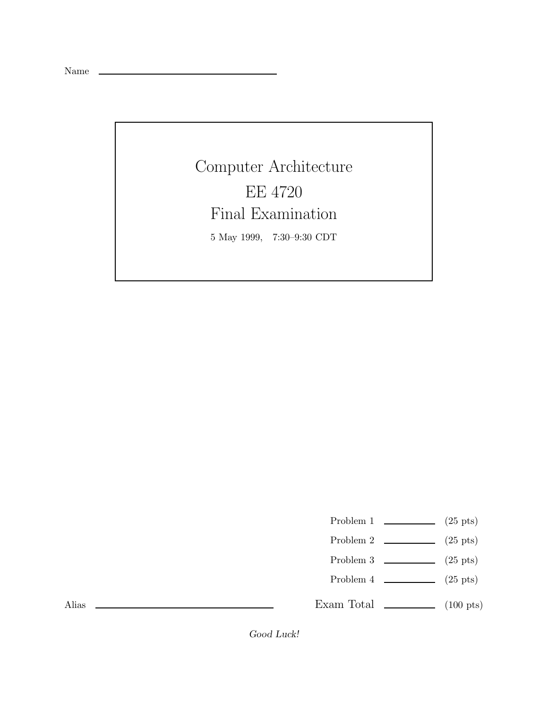Name

Computer Architecture EE 4720 Final Examination 5 May 1999, 7:30–9:30 CDT

Problem 1  $\qquad \qquad$  (25 pts)

- Problem 2  $\qquad \qquad$  (25 pts)
- Problem 3  $\sim$  (25 pts)
- Problem 4  $\qquad \qquad$  (25 pts)

Exam Total  $\qquad \qquad$  (100 pts)

Alias

*Good Luck!*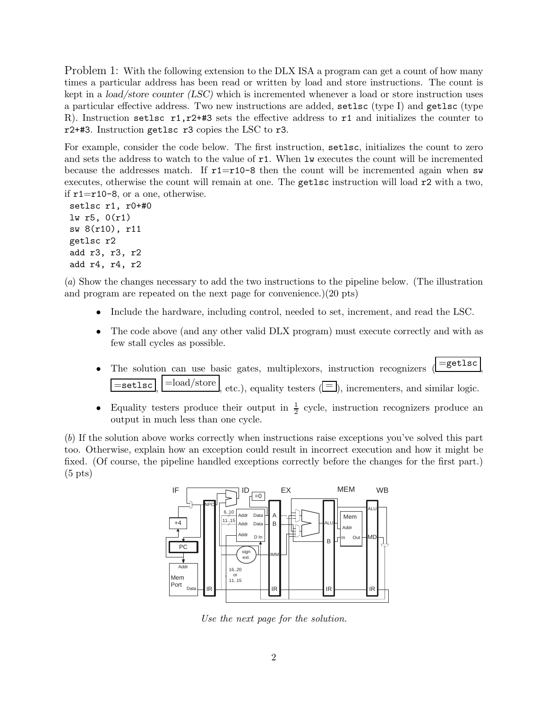Problem 1: With the following extension to the DLX ISA a program can get a count of how many times a particular address has been read or written by load and store instructions. The count is kept in a *load/store counter (LSC)* which is incremented whenever a load or store instruction uses a particular effective address. Two new instructions are added, setlsc (type I) and getlsc (type R). Instruction setlsc  $r1, r2++3$  sets the effective address to  $r1$  and initializes the counter to r2+#3. Instruction getlsc r3 copies the LSC to r3.

For example, consider the code below. The first instruction, setlsc, initializes the count to zero and sets the address to watch to the value of  $r1$ . When lw executes the count will be incremented because the addresses match. If  $r1=r10-8$  then the count will be incremented again when sw executes, otherwise the count will remain at one. The getlsc instruction will load r2 with a two, if  $r1=r10-8$ , or a one, otherwise.

setlsc r1, r0+#0 lw r5, 0(r1) sw 8(r10), r11 getlsc r2 add r3, r3, r2 add r4, r4, r2

(a) Show the changes necessary to add the two instructions to the pipeline below. (The illustration and program are repeated on the next page for convenience.)(20 pts)

- Include the hardware, including control, needed to set, increment, and read the LSC.
- The code above (and any other valid DLX program) must execute correctly and with as few stall cycles as possible.
- The solution can use basic gates, multiplexors, instruction recognizers  $\left( = \text{getlsc} \right)$  $\overline{\mathbf{e}} = \mathbf{set}$  ,  $\mathbf{set}$  =load/store , etc.), equality testers ( $\equiv$ ), incrementers, and similar logic.
- Equality testers produce their output in  $\frac{1}{2}$  cycle, instruction recognizers produce an output in much less than one cycle.

(b) If the solution above works correctly when instructions raise exceptions you've solved this part too. Otherwise, explain how an exception could result in incorrect execution and how it might be fixed. (Of course, the pipeline handled exceptions correctly before the changes for the first part.)  $(5 \text{ pts})$ 



Use the next page for the solution.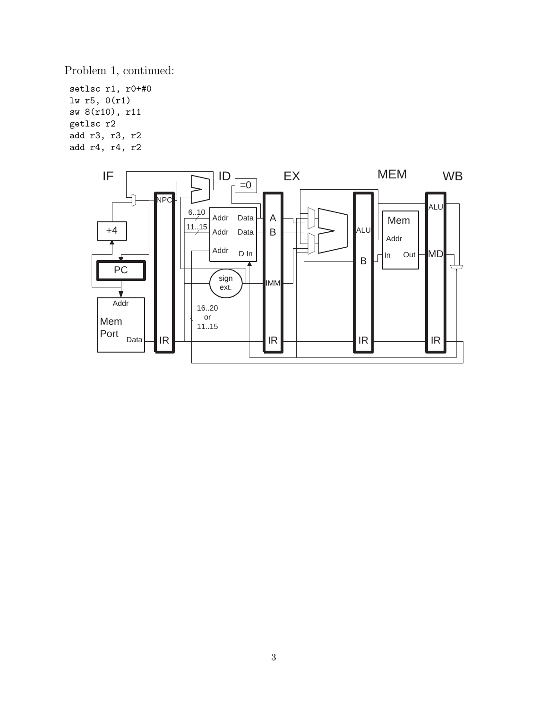Problem 1, continued:

setlsc r1, r0+#0 lw r5, 0(r1) sw 8(r10), r11 getlsc r2 add r3, r3, r2 add r4, r4, r2

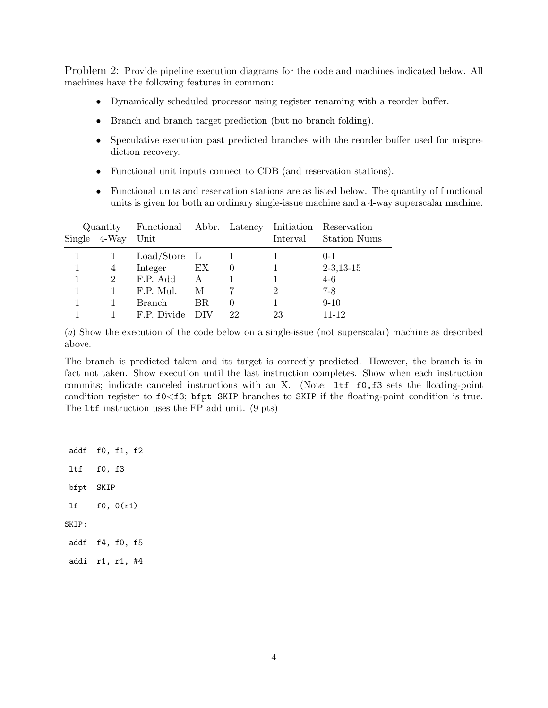Problem 2: Provide pipeline execution diagrams for the code and machines indicated below. All machines have the following features in common:

- Dynamically scheduled processor using register renaming with a reorder buffer.
- Branch and branch target prediction (but no branch folding).
- Speculative execution past predicted branches with the reorder buffer used for misprediction recovery.
- Functional unit inputs connect to CDB (and reservation stations).
- Functional units and reservation stations are as listed below. The quantity of functional units is given for both an ordinary single-issue machine and a 4-way superscalar machine.

|  |                | Quantity Functional Abbr. Latency Initiation Reservation |     |                  |          |              |
|--|----------------|----------------------------------------------------------|-----|------------------|----------|--------------|
|  | Single 4-Way   | Unit                                                     |     |                  | Interval | Station Nums |
|  |                | $Load/Store$ L                                           |     |                  |          | $() - 1$     |
|  | 4              | Integer                                                  | EX  | $\left( \right)$ |          | $2-3,13-15$  |
|  | $\overline{2}$ | F.P. Add                                                 | A   |                  |          | $4-6$        |
|  |                | F.P. Mul.                                                | M   |                  |          | $7-8$        |
|  |                | <b>Branch</b>                                            | BR. | $\left( \right)$ |          | $9 - 10$     |
|  |                | F.P. Divide                                              | DIV | 22               | 23       | $11 - 12$    |

(a) Show the execution of the code below on a single-issue (not superscalar) machine as described above.

The branch is predicted taken and its target is correctly predicted. However, the branch is in fact not taken. Show execution until the last instruction completes. Show when each instruction commits; indicate canceled instructions with an X. (Note: ltf f0,f3 sets the floating-point condition register to f0<f3; bfpt SKIP branches to SKIP if the floating-point condition is true. The ltf instruction uses the FP add unit. (9 pts)

addf f0, f1, f2 ltf f0, f3 bfpt SKIP lf f0, 0(r1) SKIP: addf f4, f0, f5 addi r1, r1, #4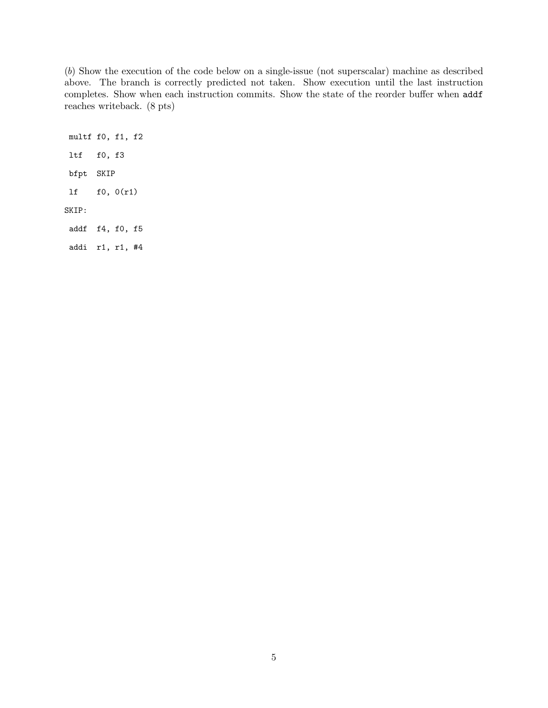(b) Show the execution of the code below on a single-issue (not superscalar) machine as described above. The branch is correctly predicted not taken. Show execution until the last instruction completes. Show when each instruction commits. Show the state of the reorder buffer when addf reaches writeback. (8 pts)

multf f0, f1, f2 ltf f0, f3 bfpt SKIP lf f0, 0(r1) SKIP: addf f4, f0, f5 addi r1, r1, #4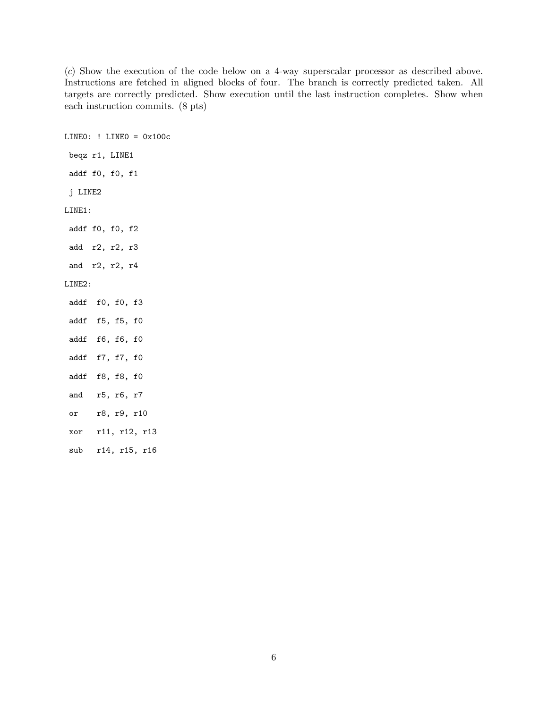(c) Show the execution of the code below on a 4-way superscalar processor as described above. Instructions are fetched in aligned blocks of four. The branch is correctly predicted taken. All targets are correctly predicted. Show execution until the last instruction completes. Show when each instruction commits. (8 pts)

LINE0: ! LINE0 = 0x100c beqz r1, LINE1 addf f0, f0, f1 j LINE2 LINE1: addf f0, f0, f2 add r2, r2, r3 and r2, r2, r4 LINE2: addf f0, f0, f3 addf f5, f5, f0 addf f6, f6, f0 addf f7, f7, f0 addf f8, f8, f0 and r5, r6, r7 or r8, r9, r10 xor r11, r12, r13 sub r14, r15, r16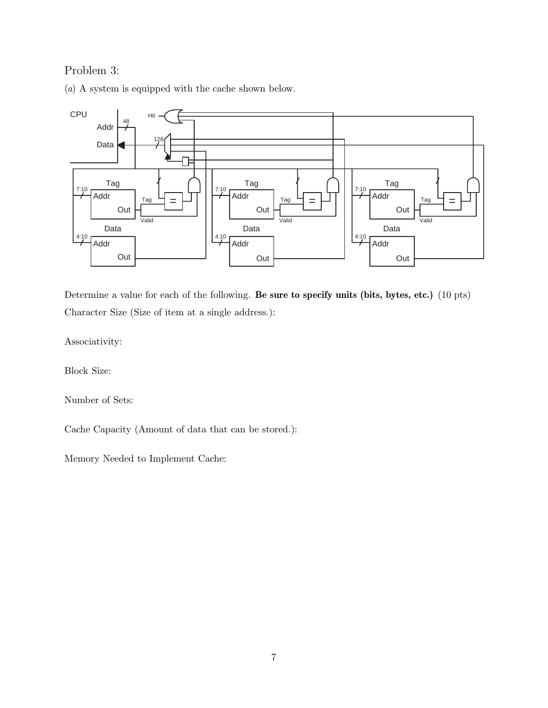## Problem 3:

(a) A system is equipped with the cache shown below.



Determine a value for each of the following. **Be sure to specify units (bits, bytes, etc.)** (10 pts) Character Size (Size of item at a single address.):

Associativity:

Block Size:

Number of Sets:

Cache Capacity (Amount of data that can be stored.):

Memory Needed to Implement Cache: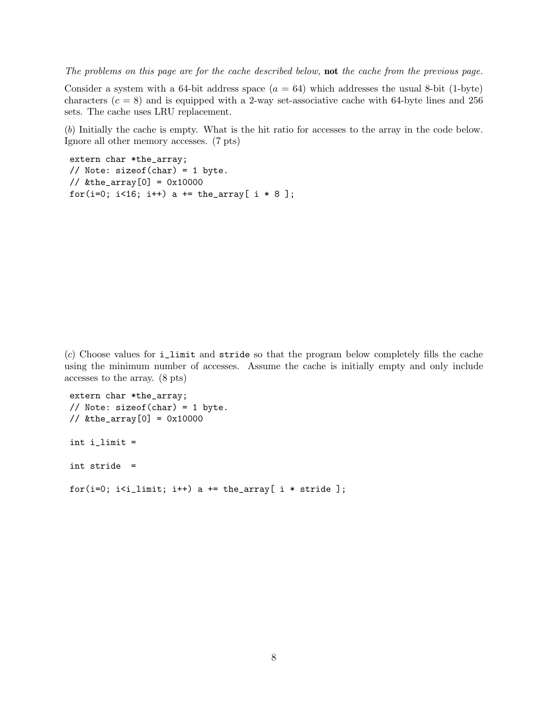The problems on this page are for the cache described below, **not** the cache from the previous page.

Consider a system with a 64-bit address space  $(a = 64)$  which addresses the usual 8-bit (1-byte) characters  $(c = 8)$  and is equipped with a 2-way set-associative cache with 64-byte lines and 256 sets. The cache uses LRU replacement.

(b) Initially the cache is empty. What is the hit ratio for accesses to the array in the code below. Ignore all other memory accesses. (7 pts)

```
extern char *the_array;
// Note: sizeof(char) = 1 byte.
\frac{1}{8} & the_array [0] = 0x10000for(i=0; i<16; i++) a += the_array[ i * 8 ];
```
(c) Choose values for i\_limit and stride so that the program below completely fills the cache using the minimum number of accesses. Assume the cache is initially empty and only include accesses to the array. (8 pts)

```
extern char *the_array;
// Note: sizeof(char) = 1 byte.
\frac{1}{8} & the_array [0] = 0x10000int i_limit =
int stride =
for(i=0; i<i_limit; i++) a += the_array[ i * stride ];
```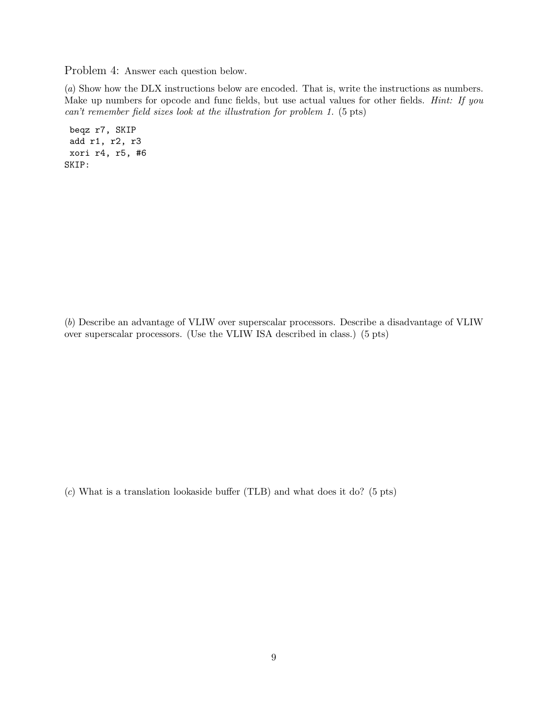Problem 4: Answer each question below.

(a) Show how the DLX instructions below are encoded. That is, write the instructions as numbers. Make up numbers for opcode and func fields, but use actual values for other fields. *Hint: If you* can't remember field sizes look at the illustration for problem 1. (5 pts)

beqz r7, SKIP add r1, r2, r3 xori r4, r5, #6 SKIP:

(b) Describe an advantage of VLIW over superscalar processors. Describe a disadvantage of VLIW over superscalar processors. (Use the VLIW ISA described in class.) (5 pts)

(c) What is a translation lookaside buffer (TLB) and what does it do? (5 pts)